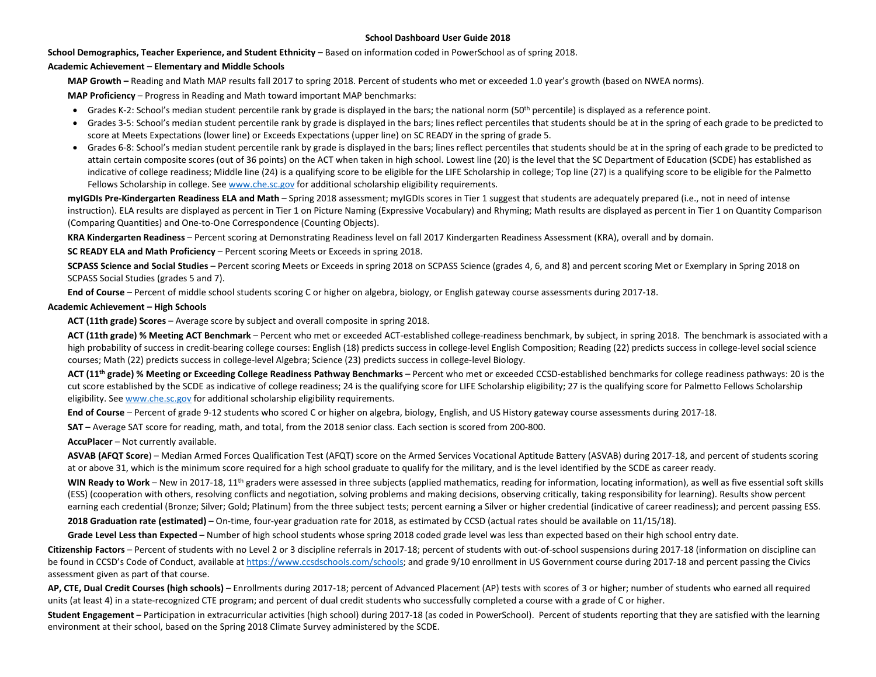#### **School Dashboard User Guide 2018**

**School Demographics, Teacher Experience, and Student Ethnicity –** Based on information coded in PowerSchool as of spring 2018.

#### **Academic Achievement – Elementary and Middle Schools**

**MAP Growth –** Reading and Math MAP results fall 2017 to spring 2018. Percent of students who met or exceeded 1.0 year's growth (based on NWEA norms).

**MAP Proficiency** – Progress in Reading and Math toward important MAP benchmarks:

- Grades K-2: School's median student percentile rank by grade is displayed in the bars; the national norm (50<sup>th</sup> percentile) is displayed as a reference point.
- Grades 3-5: School's median student percentile rank by grade is displayed in the bars; lines reflect percentiles that students should be at in the spring of each grade to be predicted to score at Meets Expectations (lower line) or Exceeds Expectations (upper line) on SC READY in the spring of grade 5.
- Grades 6-8: School's median student percentile rank by grade is displayed in the bars; lines reflect percentiles that students should be at in the spring of each grade to be predicted to attain certain composite scores (out of 36 points) on the ACT when taken in high school. Lowest line (20) is the level that the SC Department of Education (SCDE) has established as indicative of college readiness; Middle line (24) is a qualifying score to be eligible for the LIFE Scholarship in college; Top line (27) is a qualifying score to be eligible for the Palmetto Fellows Scholarship in college. See [www.che.sc.gov](http://www.che.sc.gov/) for additional scholarship eligibility requirements.

**myIGDIs Pre-Kindergarten Readiness ELA and Math** – Spring 2018 assessment; myIGDIs scores in Tier 1 suggest that students are adequately prepared (i.e., not in need of intense instruction). ELA results are displayed as percent in Tier 1 on Picture Naming (Expressive Vocabulary) and Rhyming; Math results are displayed as percent in Tier 1 on Quantity Comparison (Comparing Quantities) and One-to-One Correspondence (Counting Objects).

**KRA Kindergarten Readiness** – Percent scoring at Demonstrating Readiness level on fall 2017 Kindergarten Readiness Assessment (KRA), overall and by domain.

**SC READY ELA and Math Proficiency** – Percent scoring Meets or Exceeds in spring 2018.

**SCPASS Science and Social Studies** – Percent scoring Meets or Exceeds in spring 2018 on SCPASS Science (grades 4, 6, and 8) and percent scoring Met or Exemplary in Spring 2018 on SCPASS Social Studies (grades 5 and 7).

**End of Course** – Percent of middle school students scoring C or higher on algebra, biology, or English gateway course assessments during 2017-18.

#### **Academic Achievement – High Schools**

**ACT (11th grade) Scores** – Average score by subject and overall composite in spring 2018.

**ACT (11th grade) % Meeting ACT Benchmark** – Percent who met or exceeded ACT-established college-readiness benchmark, by subject, in spring 2018. The benchmark is associated with a high probability of success in credit-bearing college courses: English (18) predicts success in college-level English Composition; Reading (22) predicts success in college-level social science courses; Math (22) predicts success in college-level Algebra; Science (23) predicts success in college-level Biology.

**ACT (11th grade) % Meeting or Exceeding College Readiness Pathway Benchmarks** – Percent who met or exceeded CCSD-established benchmarks for college readiness pathways: 20 is the cut score established by the SCDE as indicative of college readiness; 24 is the qualifying score for LIFE Scholarship eligibility; 27 is the qualifying score for Palmetto Fellows Scholarship eligibility. Se[e www.che.sc.gov](http://www.che.sc.gov/) for additional scholarship eligibility requirements.

**End of Course** – Percent of grade 9-12 students who scored C or higher on algebra, biology, English, and US History gateway course assessments during 2017-18.

**SAT** – Average SAT score for reading, math, and total, from the 2018 senior class. Each section is scored from 200-800.

**AccuPlacer** – Not currently available.

**ASVAB (AFQT Score**) – Median Armed Forces Qualification Test (AFQT) score on the Armed Services Vocational Aptitude Battery (ASVAB) during 2017-18, and percent of students scoring at or above 31, which is the minimum score required for a high school graduate to qualify for the military, and is the level identified by the SCDE as career ready.

WIN Ready to Work – New in 2017-18, 11<sup>th</sup> graders were assessed in three subjects (applied mathematics, reading for information, locating information), as well as five essential soft skills (ESS) (cooperation with others, resolving conflicts and negotiation, solving problems and making decisions, observing critically, taking responsibility for learning). Results show percent earning each credential (Bronze; Silver; Gold; Platinum) from the three subject tests; percent earning a Silver or higher credential (indicative of career readiness); and percent passing ESS.

**2018 Graduation rate (estimated)** – On-time, four-year graduation rate for 2018, as estimated by CCSD (actual rates should be available on 11/15/18).

**Grade Level Less than Expected** – Number of high school students whose spring 2018 coded grade level was less than expected based on their high school entry date.

**Citizenship Factors** – Percent of students with no Level 2 or 3 discipline referrals in 2017-18; percent of students with out-of-school suspensions during 2017-18 (information on discipline can be found in CCSD's Code of Conduct, available at [https://www.ccsdschools.com/schools;](https://www.ccsdschools.com/schools) and grade 9/10 enrollment in US Government course during 2017-18 and percent passing the Civics assessment given as part of that course.

**AP, CTE, Dual Credit Courses (high schools)** – Enrollments during 2017-18; percent of Advanced Placement (AP) tests with scores of 3 or higher; number of students who earned all required units (at least 4) in a state-recognized CTE program; and percent of dual credit students who successfully completed a course with a grade of C or higher.

**Student Engagement** – Participation in extracurricular activities (high school) during 2017-18 (as coded in PowerSchool). Percent of students reporting that they are satisfied with the learning environment at their school, based on the Spring 2018 Climate Survey administered by the SCDE.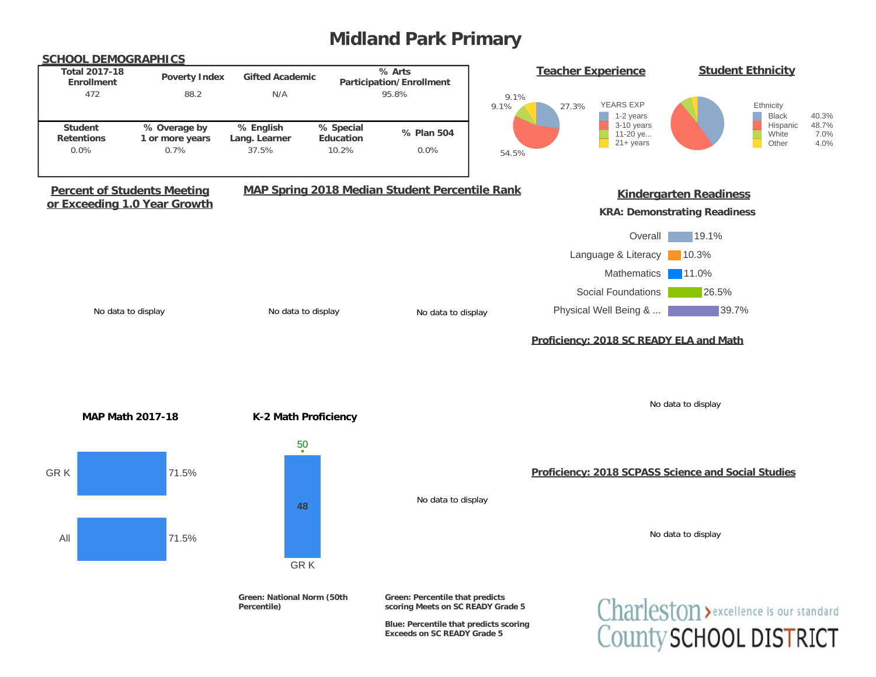# **Midland Park Primary**